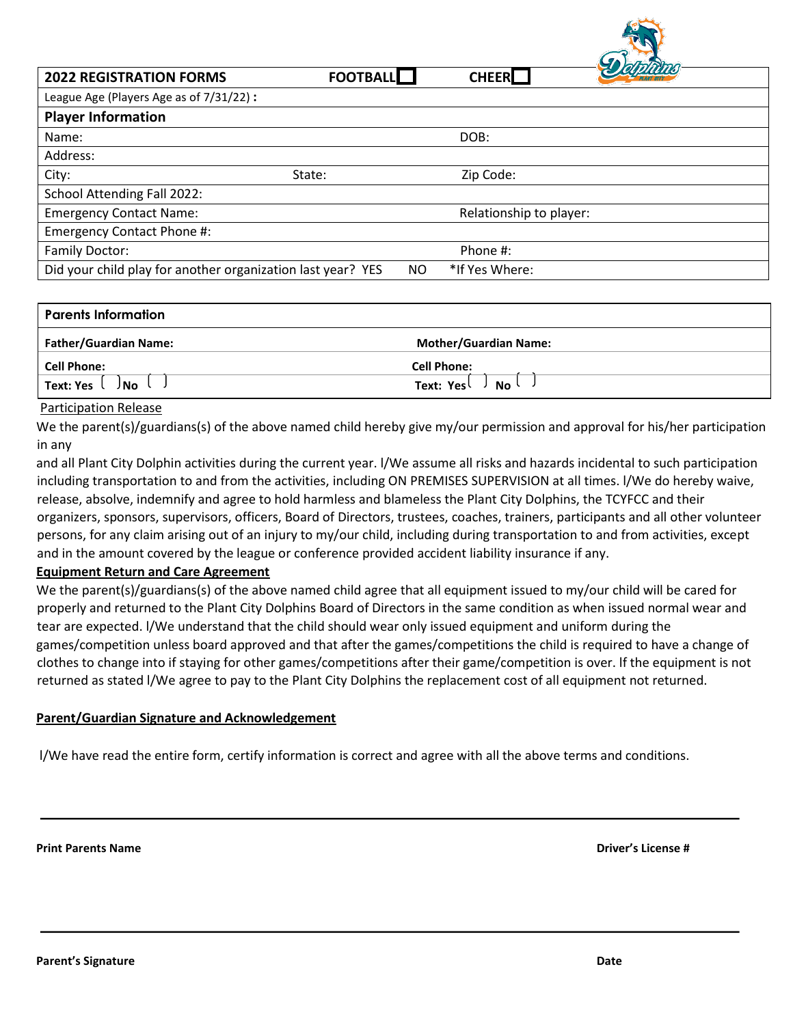| <b>2022 REGISTRATION FORMS</b>                              | <b>FOOTBALL</b> |    | <b>CHEER</b>            |  |
|-------------------------------------------------------------|-----------------|----|-------------------------|--|
| League Age (Players Age as of 7/31/22) :                    |                 |    |                         |  |
| <b>Player Information</b>                                   |                 |    |                         |  |
| Name:                                                       |                 |    | DOB:                    |  |
| Address:                                                    |                 |    |                         |  |
| City:                                                       | State:          |    | Zip Code:               |  |
| School Attending Fall 2022:                                 |                 |    |                         |  |
| <b>Emergency Contact Name:</b>                              |                 |    | Relationship to player: |  |
| Emergency Contact Phone #:                                  |                 |    |                         |  |
| Family Doctor:                                              |                 |    | Phone #:                |  |
| Did your child play for another organization last year? YES |                 | NO | *If Yes Where:          |  |

| <b>Parents Information</b>   |                                               |  |  |
|------------------------------|-----------------------------------------------|--|--|
| <b>Father/Guardian Name:</b> | <b>Mother/Guardian Name:</b>                  |  |  |
| <b>Cell Phone:</b>           | <b>Cell Phone:</b>                            |  |  |
| Text: Yes<br>∪ l             | $\overline{N}$ No $\overline{N}$<br>Text: Yes |  |  |

## Participation Release

We the parent(s)/guardians(s) of the above named child hereby give my/our permission and approval for his/her participation in any

and all Plant City Dolphin activities during the current year. l/We assume all risks and hazards incidental to such participation including transportation to and from the activities, including ON PREMISES SUPERVISION at all times. l/We do hereby waive, release, absolve, indemnify and agree to hold harmless and blameless the Plant City Dolphins, the TCYFCC and their organizers, sponsors, supervisors, officers, Board of Directors, trustees, coaches, trainers, participants and all other volunteer persons, for any claim arising out of an injury to my/our child, including during transportation to and from activities, except and in the amount covered by the league or conference provided accident liability insurance if any.

## **Equipment Return and Care Agreement**

We the parent(s)/guardians(s) of the above named child agree that all equipment issued to my/our child will be cared for properly and returned to the Plant City Dolphins Board of Directors in the same condition as when issued normal wear and tear are expected. l/We understand that the child should wear only issued equipment and uniform during the games/competition unless board approved and that after the games/competitions the child is required to have a change of clothes to change into if staying for other games/competitions after their game/competition is over. lf the equipment is not returned as stated l/We agree to pay to the Plant City Dolphins the replacement cost of all equipment not returned.

### **Parent/Guardian Signature and Acknowledgement**

l/We have read the entire form, certify information is correct and agree with all the above terms and conditions.

**Print Parents Name Driver's License #**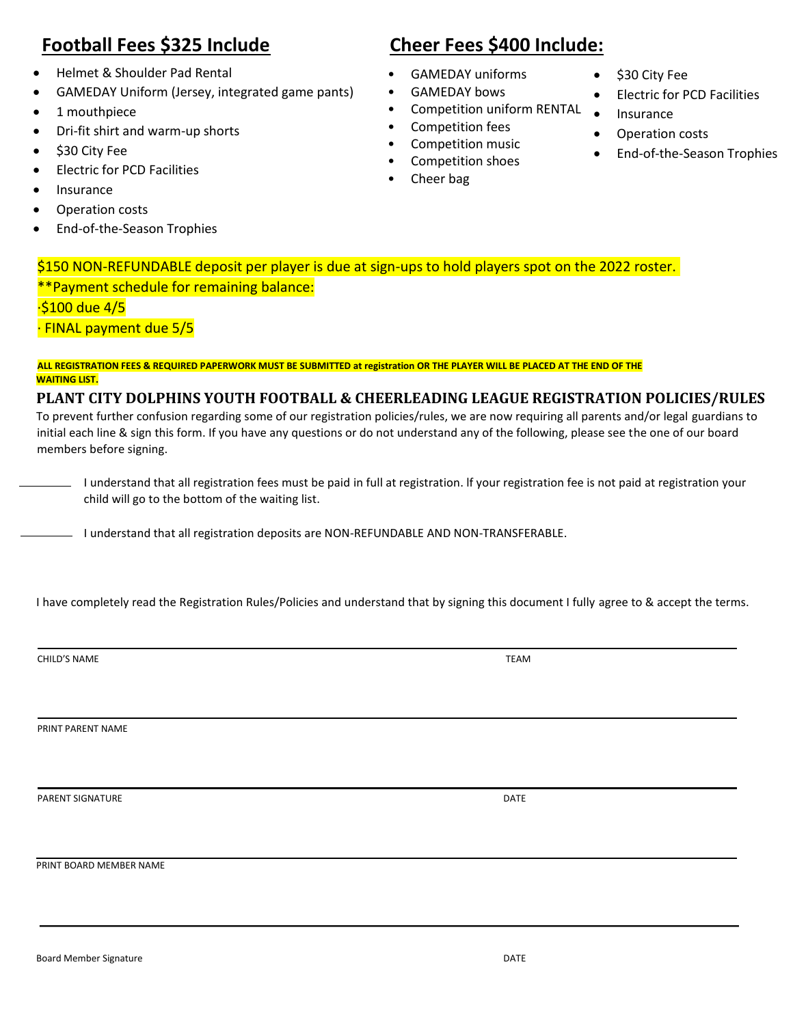# **Football Fees \$325 Include Cheer Fees \$400 Include:**

- Helmet & Shoulder Pad Rental
- GAMEDAY Uniform (Jersey, integrated game pants)
- 1 mouthpiece
- Dri-fit shirt and warm-up shorts
- \$30 City Fee
- Electric for PCD Facilities
- Insurance
- Operation costs
- End-of-the-Season Trophies

- GAMEDAY uniforms
- GAMEDAY bows
- Competition uniform RENTAL
- Competition fees
- Competition music
- Competition shoes
- Cheer bag
- \$30 City Fee
- Electric for PCD Facilities
- **Insurance**
- Operation costs
- End-of-the-Season Trophies

\$150 NON-REFUNDABLE deposit per player is due at sign-ups to hold players spot on the 2022 roster. \*\*Payment schedule for remaining balance:

·\$100 due 4/5

· FINAL payment due 5/5

# **ALL REGISTRATION FEES & REQUIRED PAPERWORK MUST BE SUBMITTED at registration OR THE PLAYER WILL BE PLACED AT THE END OF THE WAITING LIST.**

# **PLANT CITY DOLPHINS YOUTH FOOTBALL & CHEERLEADING LEAGUE REGISTRATION POLICIES/RULES**

To prevent further confusion regarding some of our registration policies/rules, we are now requiring all parents and/or legal guardians to initial each line & sign this form. If you have any questions or do not understand any of the following, please see the one of our board members before signing.

I understand that all registration fees must be paid in full at registration. lf your registration fee is not paid at registration your child will go to the bottom of the waiting list.

<sup>1</sup> understand that all registration deposits are NON-REFUNDABLE AND NON-TRANSFERABLE.

I have completely read the Registration Rules/Policies and understand that by signing this document I fully agree to & accept the terms.

CHILD'S NAME TEAM TEAM AND TEAM AND TEAM AND TEAM AND TEAM AND TEAM AND TEAM AND TEAM AND TEAM AND TEAM AND TEAM

PRINT PARENT NAME

PARENT SIGNATURE **DATE** 

PRINT BOARD MEMBER NAME